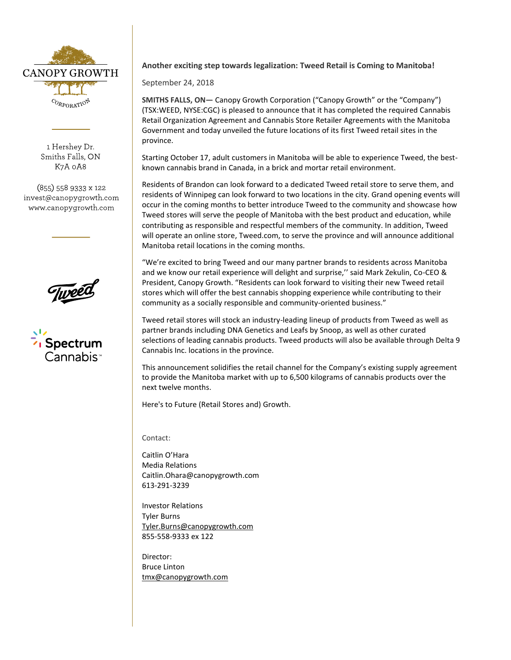

1 Hershey Dr. Smiths Falls, ON K7A 0A8

(855) 558 9333 x 122 invest@canopygrowth.com www.canopygrowth.com



## **Another exciting step towards legalization: Tweed Retail is Coming to Manitoba!**

September 24, 2018

**SMITHS FALLS, ON—** Canopy Growth Corporation ("Canopy Growth" or the "Company") (TSX:WEED, NYSE:CGC) is pleased to announce that it has completed the required Cannabis Retail Organization Agreement and Cannabis Store Retailer Agreements with the Manitoba Government and today unveiled the future locations of its first Tweed retail sites in the province.

Starting October 17, adult customers in Manitoba will be able to experience Tweed, the bestknown cannabis brand in Canada, in a brick and mortar retail environment.

Residents of Brandon can look forward to a dedicated Tweed retail store to serve them, and residents of Winnipeg can look forward to two locations in the city. Grand opening events will occur in the coming months to better introduce Tweed to the community and showcase how Tweed stores will serve the people of Manitoba with the best product and education, while contributing as responsible and respectful members of the community. In addition, Tweed will operate an online store, Tweed.com, to serve the province and will announce additional Manitoba retail locations in the coming months.

"We're excited to bring Tweed and our many partner brands to residents across Manitoba and we know our retail experience will delight and surprise,'' said Mark Zekulin, Co-CEO & President, Canopy Growth. "Residents can look forward to visiting their new Tweed retail stores which will offer the best cannabis shopping experience while contributing to their community as a socially responsible and community-oriented business."

Tweed retail stores will stock an industry-leading lineup of products from Tweed as well as partner brands including DNA Genetics and Leafs by Snoop, as well as other curated selections of leading cannabis products. Tweed products will also be available through Delta 9 Cannabis Inc. locations in the province.

This announcement solidifies the retail channel for the Company's existing supply agreement to provide the Manitoba market with up to 6,500 kilograms of cannabis products over the next twelve months.

Here's to Future (Retail Stores and) Growth.

Contact:

Caitlin O'Hara Media Relations [Caitlin.Ohara@canopygrowth.com](mailto:Caitlin.ohara@canopygrowth.com) 613-291-3239

Investor Relations Tyler Burns [Tyler.Burns@canopygrowth.com](mailto:Tyler.Burns@canopygrowth.com) 855-558-9333 ex 122

Director: Bruce Linton [tmx@canopygrowth.com](mailto:tmx@tweed.com)